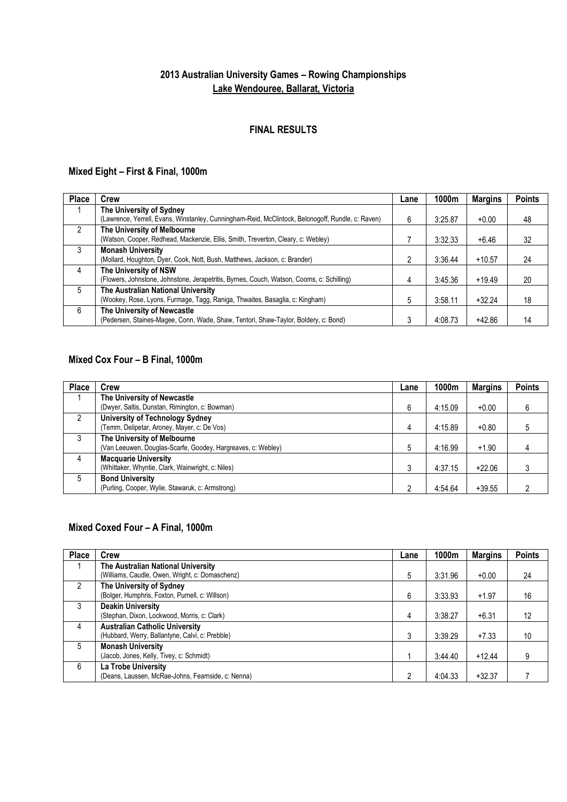## **2013 Australian University Games – Rowing Championships Lake Wendouree, Ballarat, Victoria**

#### **FINAL RESULTS**

#### **Mixed Eight – First & Final, 1000m**

| <b>Place</b>  | Crew                                                                                              | Lane | 1000m   | <b>Margins</b> | <b>Points</b> |
|---------------|---------------------------------------------------------------------------------------------------|------|---------|----------------|---------------|
|               | The University of Sydney                                                                          |      |         |                |               |
|               | (Lawrence, Yerrell, Evans, Winstanley, Cunningham-Reid, McClintock, Belonogoff, Rundle, c: Raven) | 6    | 3:25.87 | $+0.00$        | 48            |
| $\mathcal{P}$ | The University of Melbourne                                                                       |      |         |                |               |
|               | (Watson, Cooper, Redhead, Mackenzie, Ellis, Smith, Treverton, Cleary, c: Webley)                  |      | 3:32.33 | $+6.46$        | 32            |
| 3             | <b>Monash University</b>                                                                          |      |         |                |               |
|               | (Mollard, Houghton, Dyer, Cook, Nott, Bush, Matthews, Jackson, c: Brander)                        | 2    | 3:36.44 | $+10.57$       | 24            |
| 4             | The University of NSW                                                                             |      |         |                |               |
|               | (Flowers, Johnstone, Johnstone, Jerapetritis, Byrnes, Couch, Watson, Cooms, c: Schilling)         | 4    | 3:45.36 | $+19.49$       | 20            |
| 5             | The Australian National University                                                                |      |         |                |               |
|               | (Wookey, Rose, Lyons, Furmage, Tagg, Raniga, Thwaites, Basaglia, c: Kingham)                      | 5    | 3:58.11 | $+32.24$       | 18            |
| 6             | The University of Newcastle                                                                       |      |         |                |               |
|               | (Pedersen, Staines-Magee, Conn, Wade, Shaw, Tentori, Shaw-Taylor, Boldery, c: Bond)               |      | 4:08.73 | $+42.86$       | 14            |

#### **Mixed Cox Four – B Final, 1000m**

| <b>Place</b> | Crew                                                         | Lane | 1000m   | <b>Margins</b> | <b>Points</b> |
|--------------|--------------------------------------------------------------|------|---------|----------------|---------------|
|              | The University of Newcastle                                  |      |         |                |               |
|              | (Dwyer, Saltis, Dunstan, Rimington, c: Bowman)               | 6    | 4:15.09 | $+0.00$        | 6             |
| 2            | <b>University of Technology Sydney</b>                       |      |         |                |               |
|              | (Temm, Delipetar, Aroney, Mayer, c: De Vos)                  | 4    | 4:15.89 | $+0.80$        | 5             |
| 3            | The University of Melbourne                                  |      |         |                |               |
|              | (Van Leeuwen, Douglas-Scarfe, Goodey, Hargreaves, c: Webley) | 5    | 4:16.99 | $+1.90$        | 4             |
| 4            | <b>Macquarie University</b>                                  |      |         |                |               |
|              | (Whittaker, Whyntie, Clark, Wainwright, c: Niles)            |      | 4:37.15 | $+22.06$       | 3             |
| 5            | <b>Bond University</b>                                       |      |         |                |               |
|              | (Purling, Cooper, Wylie, Stawaruk, c: Armstrong)             |      | 4:54.64 | $+39.55$       | າ             |

### **Mixed Coxed Four – A Final, 1000m**

| <b>Place</b> | <b>Crew</b>                                        | Lane | 1000m   | <b>Margins</b> | <b>Points</b> |
|--------------|----------------------------------------------------|------|---------|----------------|---------------|
|              | The Australian National University                 |      |         |                |               |
|              | (Williams, Caudle, Owen, Wright, c: Domaschenz)    | 5    | 3:31.96 | $+0.00$        | 24            |
| 2            | The University of Sydney                           |      |         |                |               |
|              | (Bolger, Humphris, Foxton, Purnell, c: Willson)    | 6    | 3:33.93 | $+1.97$        | 16            |
| 3            | <b>Deakin University</b>                           |      |         |                |               |
|              | (Stephan, Dixon, Lockwood, Morris, c: Clark)       | 4    | 3:38.27 | $+6.31$        | 12            |
| 4            | <b>Australian Catholic University</b>              |      |         |                |               |
|              | (Hubbard, Werry, Ballantyne, Calvi, c: Prebble)    | 3    | 3:39.29 | $+7.33$        | 10            |
| 5            | <b>Monash University</b>                           |      |         |                |               |
|              | (Jacob, Jones, Kelly, Tivey, c: Schmidt)           |      | 3:44.40 | $+12.44$       | 9             |
| 6            | La Trobe University                                |      |         |                |               |
|              | (Deans, Laussen, McRae-Johns, Fearnside, c: Nenna) |      | 4:04.33 | $+32.37$       |               |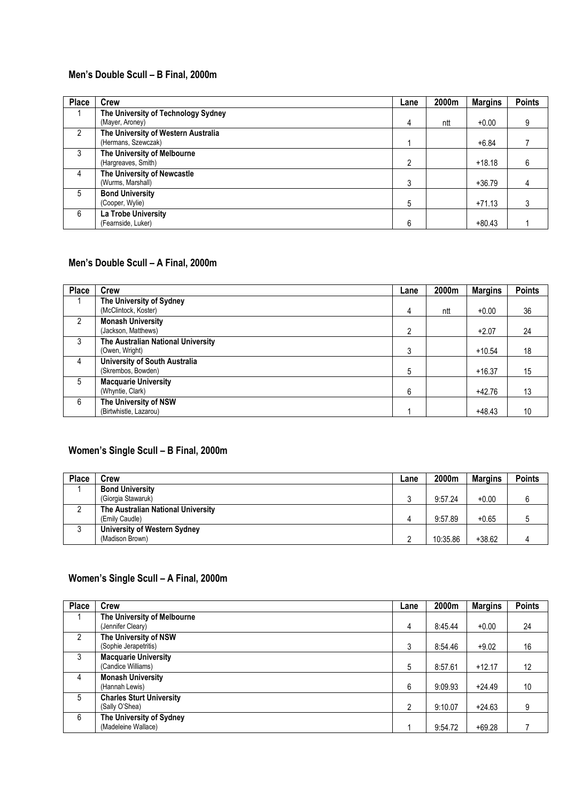#### **Men's Double Scull – B Final, 2000m**

| <b>Place</b>  | Crew                                                       | Lane           | 2000m | <b>Margins</b> | <b>Points</b> |
|---------------|------------------------------------------------------------|----------------|-------|----------------|---------------|
|               | The University of Technology Sydney<br>(Mayer, Aroney)     | 4              | ntt   | $+0.00$        | 9             |
| $\mathcal{P}$ | The University of Western Australia<br>(Hermans, Szewczak) |                |       | $+6.84$        |               |
| 3             | The University of Melbourne<br>(Hargreaves, Smith)         | $\overline{2}$ |       | $+18.18$       | 6             |
| 4             | The University of Newcastle<br>(Wurms, Marshall)           | 3              |       | $+36.79$       | 4             |
| 5             | <b>Bond University</b><br>(Cooper, Wylie)                  | 5              |       | $+71.13$       |               |
| 6             | La Trobe University<br>(Fearnside, Luker)                  | 6              |       | $+80.43$       |               |

#### **Men's Double Scull – A Final, 2000m**

| <b>Place</b>  | <b>Crew</b>                          | Lane | 2000m | <b>Margins</b> | <b>Points</b> |
|---------------|--------------------------------------|------|-------|----------------|---------------|
|               | The University of Sydney             |      |       |                |               |
|               | (McClintock, Koster)                 | 4    | ntt   | $+0.00$        | 36            |
| $\mathcal{P}$ | <b>Monash University</b>             |      |       |                |               |
|               | (Jackson, Matthews)                  | 2    |       | $+2.07$        | 24            |
| 3             | The Australian National University   |      |       |                |               |
|               | (Owen, Wright)                       | 3    |       | $+10.54$       | 18            |
| 4             | <b>University of South Australia</b> |      |       |                |               |
|               | (Skrembos, Bowden)                   | 5    |       | $+16.37$       | 15            |
| 5             | <b>Macquarie University</b>          |      |       |                |               |
|               | (Whyntie, Clark)                     | 6    |       | $+42.76$       | 13            |
| 6             | The University of NSW                |      |       |                |               |
|               | (Birtwhistle, Lazarou)               |      |       | $+48.43$       | 10            |

#### **Women's Single Scull – B Final, 2000m**

| Place | Crew                               | Lane | 2000m    | <b>Margins</b> | <b>Points</b> |
|-------|------------------------------------|------|----------|----------------|---------------|
|       | <b>Bond University</b>             |      |          |                |               |
|       | (Giorgia Stawaruk)                 |      | 9:57.24  | $+0.00$        |               |
| C     | The Australian National University |      |          |                |               |
|       | (Emily Caudle)                     |      | 9:57.89  | $+0.65$        |               |
|       | University of Western Sydney       |      |          |                |               |
|       | (Madison Brown)                    |      | 10:35.86 | $+38.62$       |               |

#### **Women's Single Scull – A Final, 2000m**

| <b>Place</b> | Crew                                              | Lane           | 2000m   | <b>Margins</b> | <b>Points</b> |
|--------------|---------------------------------------------------|----------------|---------|----------------|---------------|
|              | The University of Melbourne<br>(Jennifer Cleary)  | 4              | 8:45.44 | $+0.00$        | 24            |
| 2            | The University of NSW<br>(Sophie Jerapetritis)    | 3              | 8:54.46 | $+9.02$        | 16            |
| 3            | <b>Macquarie University</b><br>(Candice Williams) | 5              | 8:57.61 | $+12.17$       | 12            |
| 4            | <b>Monash University</b><br>(Hannah Lewis)        | 6              | 9:09.93 | $+24.49$       | 10            |
| 5            | <b>Charles Sturt University</b><br>(Sally O'Shea) | $\mathfrak{p}$ | 9:10.07 | $+24.63$       | 9             |
| 6            | The University of Sydney<br>(Madeleine Wallace)   |                | 9:54.72 | $+69.28$       |               |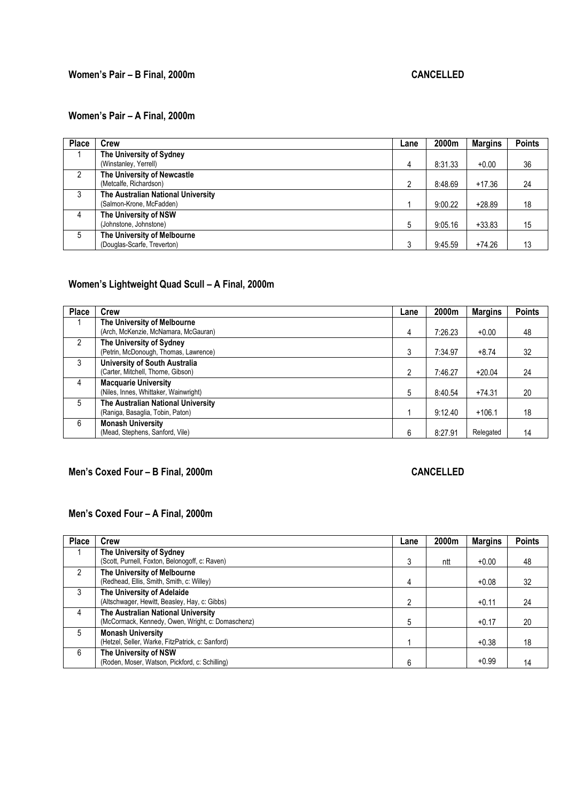## **Women's Pair – B Final, 2000m CANCELLED**

### **Women's Pair – A Final, 2000m**

| <b>Place</b>  | Crew                                                           | Lane | 2000m   | <b>Margins</b> | <b>Points</b> |
|---------------|----------------------------------------------------------------|------|---------|----------------|---------------|
|               | The University of Sydney                                       |      |         |                |               |
|               | (Winstanley, Yerrell)                                          | 4    | 8:31.33 | $+0.00$        | 36            |
| $\mathcal{P}$ | The University of Newcastle<br>(Metcalfe, Richardson)          | 2    | 8:48.69 | $+17.36$       | 24            |
| 3             | The Australian National University<br>(Salmon-Krone, McFadden) |      | 9:00.22 | $+28.89$       | 18            |
| 4             | The University of NSW<br>(Johnstone, Johnstone)                | 5    | 9:05.16 | $+33.83$       | 15            |
| 5             | The University of Melbourne<br>(Douglas-Scarfe, Treverton)     | 3    | 9:45.59 | $+74.26$       | 13            |

# **Women's Lightweight Quad Scull – A Final, 2000m**

| <b>Place</b> | Crew                                                                       | Lane | 2000m   | <b>Margins</b> | <b>Points</b> |
|--------------|----------------------------------------------------------------------------|------|---------|----------------|---------------|
|              | The University of Melbourne<br>(Arch, McKenzie, McNamara, McGauran)        | 4    | 7:26.23 | $+0.00$        | 48            |
| 2            | The University of Sydney<br>(Petrin, McDonough, Thomas, Lawrence)          | 3    | 7:34.97 | $+8.74$        | 32            |
| 3            | <b>University of South Australia</b><br>(Carter, Mitchell, Thorne, Gibson) | 2    | 7:46.27 | $+20.04$       | 24            |
| 4            | <b>Macquarie University</b><br>(Niles, Innes, Whittaker, Wainwright)       | 5    | 8:40.54 | $+74.31$       | 20            |
| 5            | The Australian National University<br>(Raniga, Basaglia, Tobin, Paton)     |      | 9:12.40 | $+106.1$       | 18            |
| 6            | <b>Monash University</b><br>(Mead, Stephens, Sanford, Vile)                | 6    | 8:27.91 | Relegated      | 14            |

## **Men's Coxed Four – B Final, 2000m** CANCELLED

## **Men's Coxed Four – A Final, 2000m**

| <b>Place</b>  | Crew                                              | Lane          | 2000m | <b>Margins</b> | <b>Points</b> |
|---------------|---------------------------------------------------|---------------|-------|----------------|---------------|
|               | The University of Sydney                          |               |       |                |               |
|               | (Scott, Purnell, Foxton, Belonogoff, c: Raven)    | 3             | ntt   | $+0.00$        | 48            |
| $\mathcal{P}$ | The University of Melbourne                       |               |       |                |               |
|               | (Redhead, Ellis, Smith, Smith, c: Willey)         | 4             |       | $+0.08$        | 32            |
| 3             | The University of Adelaide                        |               |       |                |               |
|               | (Altschwager, Hewitt, Beasley, Hay, c: Gibbs)     | $\mathcal{P}$ |       | $+0.11$        | 24            |
| 4             | The Australian National University                |               |       |                |               |
|               | (McCormack, Kennedy, Owen, Wright, c: Domaschenz) | 5             |       | $+0.17$        | 20            |
| 5             | <b>Monash University</b>                          |               |       |                |               |
|               | (Hetzel, Seller, Warke, FitzPatrick, c: Sanford)  |               |       | $+0.38$        | 18            |
| 6             | The University of NSW                             |               |       |                |               |
|               | (Roden, Moser, Watson, Pickford, c: Schilling)    | 6             |       | $+0.99$        | 14            |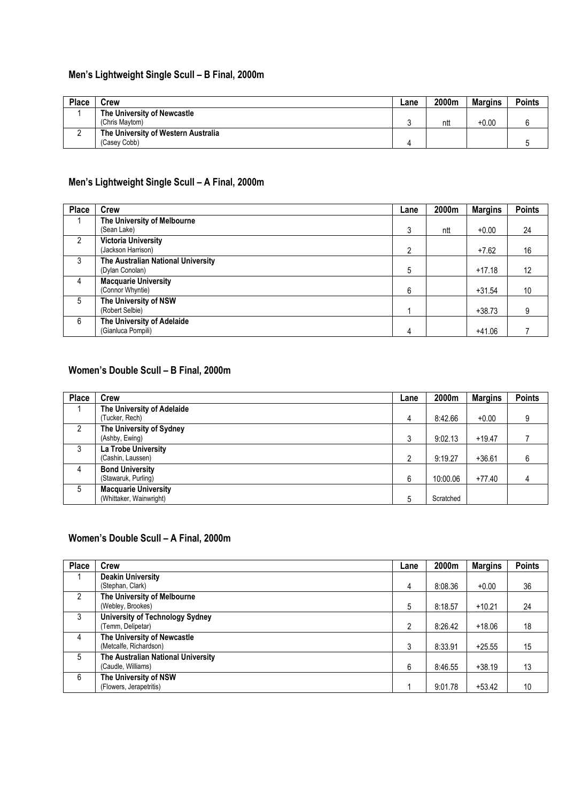## **Men's Lightweight Single Scull – B Final, 2000m**

| <b>Place</b> | Crew                                | Lane | 2000m | Margins | <b>Points</b> |
|--------------|-------------------------------------|------|-------|---------|---------------|
|              | The University of Newcastle         |      |       |         |               |
|              | (Chris Maytom)                      |      | ntt   | $+0.00$ |               |
|              | The University of Western Australia |      |       |         |               |
|              | (Casey Cobb)                        |      |       |         |               |

### **Men's Lightweight Single Scull – A Final, 2000m**

| <b>Place</b>  | <b>Crew</b>                                           | Lane | 2000m | <b>Margins</b> | <b>Points</b> |
|---------------|-------------------------------------------------------|------|-------|----------------|---------------|
|               | The University of Melbourne<br>(Sean Lake)            | 3    | ntt   | $+0.00$        | 24            |
| $\mathcal{P}$ | <b>Victoria University</b><br>(Jackson Harrison)      | 2    |       | $+7.62$        | 16            |
| 3             | The Australian National University<br>(Dylan Conolan) | 5    |       | $+17.18$       | 12            |
| 4             | <b>Macquarie University</b><br>(Connor Whyntie)       | 6    |       | $+31.54$       | 10            |
| 5             | The University of NSW<br>(Robert Selbie)              |      |       | $+38.73$       | 9             |
| 6             | The University of Adelaide<br>(Gianluca Pompili)      | 4    |       | $+41.06$       |               |

### **Women's Double Scull – B Final, 2000m**

| Place         | <b>Crew</b>                 | Lane | 2000m     | <b>Margins</b> | <b>Points</b> |
|---------------|-----------------------------|------|-----------|----------------|---------------|
|               | The University of Adelaide  |      |           |                |               |
|               | (Tucker, Rech)              | 4    | 8:42.66   | $+0.00$        | 9             |
| $\mathcal{P}$ | The University of Sydney    |      |           |                |               |
|               | (Ashby, Ewing)              | 3    | 9:02.13   | $+19.47$       |               |
| 3             | La Trobe University         |      |           |                |               |
|               | (Cashin, Laussen)           | 2    | 9:19.27   | $+36.61$       | 6             |
| 4             | <b>Bond University</b>      |      |           |                |               |
|               | (Stawaruk, Purling)         | 6    | 10:00.06  | $+77.40$       | 4             |
| 5             | <b>Macquarie University</b> |      |           |                |               |
|               | (Whittaker, Wainwright)     | 5    | Scratched |                |               |

### **Women's Double Scull – A Final, 2000m**

| <b>Place</b>   | <b>Crew</b>                            | Lane          | 2000m   | <b>Margins</b> | <b>Points</b> |
|----------------|----------------------------------------|---------------|---------|----------------|---------------|
|                | <b>Deakin University</b>               |               |         |                |               |
|                | (Stephan, Clark)                       | 4             | 8:08.36 | $+0.00$        | 36            |
| $\mathfrak{p}$ | The University of Melbourne            |               |         |                |               |
|                | (Webley, Brookes)                      | 5             | 8:18.57 | $+10.21$       | 24            |
| 3              | <b>University of Technology Sydney</b> |               |         |                |               |
|                | (Temm, Delipetar)                      | $\mathcal{P}$ | 8:26.42 | $+18.06$       | 18            |
| 4              | The University of Newcastle            |               |         |                |               |
|                | (Metcalfe, Richardson)                 | 3             | 8:33.91 | $+25.55$       | 15            |
| 5              | The Australian National University     |               |         |                |               |
|                | (Caudle, Williams)                     | 6             | 8:46.55 | $+38.19$       | 13            |
| 6              | The University of NSW                  |               |         |                |               |
|                | (Flowers, Jerapetritis)                |               | 9:01.78 | $+53.42$       | 10            |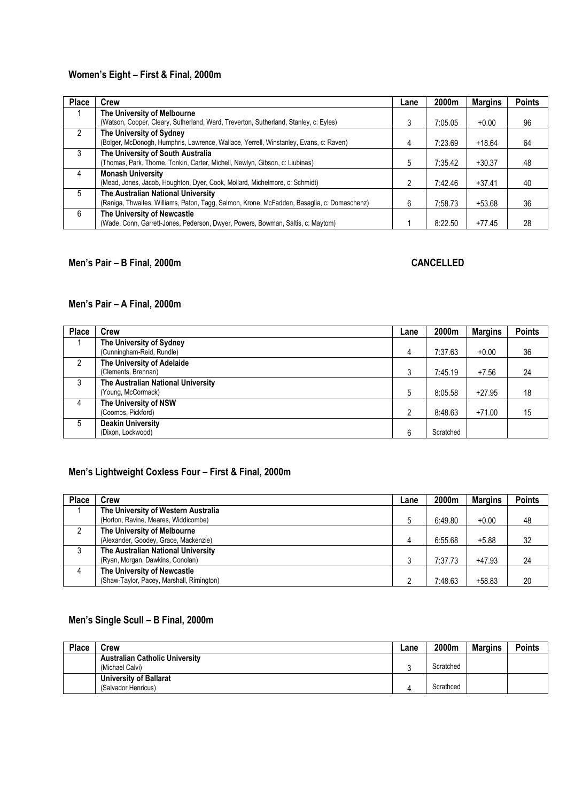## **Women's Eight – First & Final, 2000m**

| <b>Place</b>  | <b>Crew</b>                                                                                 | Lane | 2000m   | <b>Margins</b> | <b>Points</b> |
|---------------|---------------------------------------------------------------------------------------------|------|---------|----------------|---------------|
| 1             | The University of Melbourne                                                                 |      |         |                |               |
|               | (Watson, Cooper, Cleary, Sutherland, Ward, Treverton, Sutherland, Stanley, c: Eyles)        |      | 7:05.05 | $+0.00$        | 96            |
| $\mathcal{P}$ | The University of Sydney                                                                    |      |         |                |               |
|               | (Bolger, McDonogh, Humphris, Lawrence, Wallace, Yerrell, Winstanley, Evans, c: Raven)       | 4    | 7:23.69 | $+18.64$       | 64            |
| 3             | The University of South Australia                                                           |      |         |                |               |
|               | (Thomas, Park, Thorne, Tonkin, Carter, Michell, Newlyn, Gibson, c: Liubinas)                | 5    | 7:35.42 | $+30.37$       | 48            |
| 4             | <b>Monash University</b>                                                                    |      |         |                |               |
|               | (Mead, Jones, Jacob, Houghton, Dyer, Cook, Mollard, Michelmore, c: Schmidt)                 |      | 7:42.46 | $+37.41$       | 40            |
| 5             | The Australian National University                                                          |      |         |                |               |
|               | (Raniga, Thwaites, Williams, Paton, Tagg, Salmon, Krone, McFadden, Basaglia, c: Domaschenz) | 6    | 7:58.73 | $+53.68$       | 36            |
| 6             | The University of Newcastle                                                                 |      |         |                |               |
|               | (Wade, Conn, Garrett-Jones, Pederson, Dwyer, Powers, Bowman, Saltis, c: Maytom)             |      | 8:22.50 | $+77.45$       | 28            |

#### **Men's Pair – B Final, 2000m CANCELLED**

### **Men's Pair – A Final, 2000m**

| <b>Place</b>   | Crew                                                     | Lane | 2000m     | <b>Margins</b> | <b>Points</b> |
|----------------|----------------------------------------------------------|------|-----------|----------------|---------------|
|                | The University of Sydney<br>(Cunningham-Reid, Rundle)    | 4    | 7:37.63   | $+0.00$        | 36            |
| $\mathfrak{p}$ | The University of Adelaide<br>(Clements, Brennan)        | 3    | 7:45.19   | $+7.56$        | 24            |
| 3              | The Australian National University<br>(Young, McCormack) | 5    | 8:05.58   | $+27.95$       | 18            |
| 4              | The University of NSW<br>(Coombs, Pickford)              | C    | 8:48.63   | $+71.00$       | 15            |
| 5              | <b>Deakin University</b><br>(Dixon, Lockwood)            | 6    | Scratched |                |               |

### **Men's Lightweight Coxless Four – First & Final, 2000m**

| <b>Place</b> | Crew                                                                        | Lane | 2000m   | <b>Margins</b> | <b>Points</b> |
|--------------|-----------------------------------------------------------------------------|------|---------|----------------|---------------|
|              | The University of Western Australia<br>(Horton, Ravine, Meares, Widdicombe) |      | 6:49.80 | $+0.00$        | 48            |
|              | The University of Melbourne<br>(Alexander, Goodey, Grace, Mackenzie)        | Δ    | 6:55.68 | $+5.88$        | 32            |
|              | The Australian National University<br>(Ryan, Morgan, Dawkins, Conolan)      |      | 7:37.73 | $+47.93$       | 24            |
| 4            | The University of Newcastle<br>(Shaw-Taylor, Pacey, Marshall, Rimington)    |      | 7:48.63 | $+58.83$       | 20            |

#### **Men's Single Scull – B Final, 2000m**

| <b>Place</b> | Crew                                  | Lane | 2000m     | <b>Margins</b> | <b>Points</b> |
|--------------|---------------------------------------|------|-----------|----------------|---------------|
|              | <b>Australian Catholic University</b> |      |           |                |               |
|              | (Michael Calvi)                       |      | Scratched |                |               |
|              | University of Ballarat                |      |           |                |               |
|              | (Salvador Henricus)                   |      | Scrathced |                |               |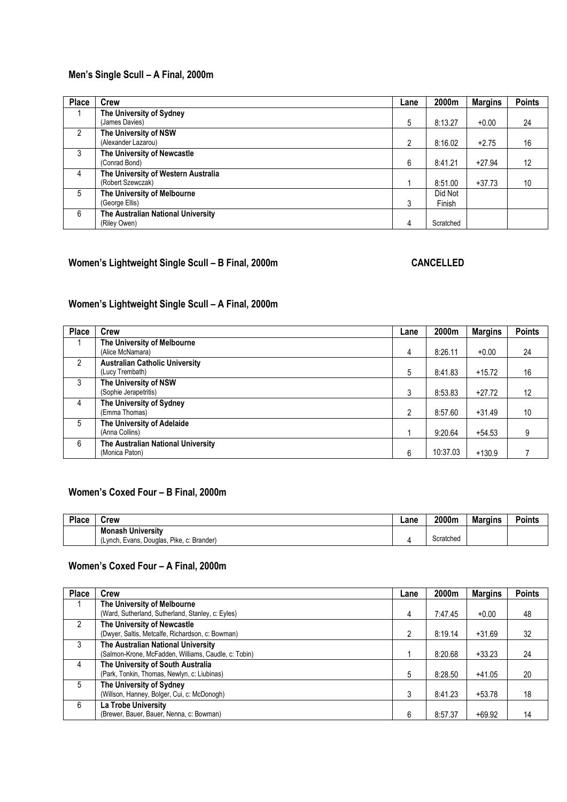## **Men's Single Scull – A Final, 2000m**

| <b>Place</b>   | <b>Crew</b>                                              | Lane | 2000m             | <b>Margins</b> | <b>Points</b> |
|----------------|----------------------------------------------------------|------|-------------------|----------------|---------------|
|                | The University of Sydney<br>(James Davies)               | 5    | 8:13.27           | $+0.00$        | 24            |
| 2              | The University of NSW<br>(Alexander Lazarou)             | 2    | 8:16.02           | $+2.75$        | 16            |
| 3              | The University of Newcastle<br>(Conrad Bond)             | 6    | 8:41.21           | $+27.94$       | 12            |
| $\overline{4}$ | The University of Western Australia<br>(Robert Szewczak) |      | 8:51.00           | $+37.73$       | 10            |
| 5              | The University of Melbourne<br>(George Ellis)            | 3    | Did Not<br>Finish |                |               |
| 6              | The Australian National University<br>(Riley Owen)       | 4    | Scratched         |                |               |

## **Women's Lightweight Single Scull – B Final, 2000m CANCELLED**

## **Women's Lightweight Single Scull – A Final, 2000m**

| <b>Place</b>  | Crew                                                     | Lane           | 2000m    | <b>Margins</b> | <b>Points</b> |
|---------------|----------------------------------------------------------|----------------|----------|----------------|---------------|
|               | The University of Melbourne<br>(Alice McNamara)          | 4              | 8:26.11  | $+0.00$        | 24            |
| $\mathcal{P}$ | <b>Australian Catholic University</b><br>(Lucy Trembath) | 5              | 8:41.83  | $+15.72$       | 16            |
| 3             | The University of NSW<br>(Sophie Jerapetritis)           | 3              | 8:53.83  | $+27.72$       | 12            |
| 4             | The University of Sydney<br>(Emma Thomas)                | $\mathfrak{p}$ | 8:57.60  | $+31.49$       | 10            |
| 5             | The University of Adelaide<br>(Anna Collins)             |                | 9:20.64  | $+54.53$       | 9             |
| 6             | The Australian National University<br>(Monica Paton)     | 6              | 10:37.03 | $+130.9$       |               |

### **Women's Coxed Four – B Final, 2000m**

| Place | <b>Crew</b>                                  | ∟ane | 2000m     | <b>Margins</b> | Points |
|-------|----------------------------------------------|------|-----------|----------------|--------|
|       | <b>Monash University</b>                     |      |           |                |        |
|       | Pike. c: Brander)<br>(Lynch, Evans, Douglas, |      | Scratched |                |        |

#### **Women's Coxed Four – A Final, 2000m**

| <b>Place</b>  | <b>Crew</b>                                          | Lane | 2000m   | <b>Margins</b> | <b>Points</b> |
|---------------|------------------------------------------------------|------|---------|----------------|---------------|
|               | The University of Melbourne                          |      |         |                |               |
|               | (Ward, Sutherland, Sutherland, Stanley, c: Eyles)    | 4    | 7:47.45 | $+0.00$        | 48            |
| $\mathcal{P}$ | The University of Newcastle                          |      |         |                |               |
|               | (Dwyer, Saltis, Metcalfe, Richardson, c: Bowman)     | 2    | 8:19.14 | $+31.69$       | 32            |
| 3             | The Australian National University                   |      |         |                |               |
|               | (Salmon-Krone, McFadden, Williams, Caudle, c: Tobin) |      | 8:20.68 | $+33.23$       | 24            |
| 4             | The University of South Australia                    |      |         |                |               |
|               | (Park, Tonkin, Thomas, Newlyn, c: Liubinas)          | 5    | 8:28.50 | $+41.05$       | 20            |
| 5             | The University of Sydney                             |      |         |                |               |
|               | (Willson, Hanney, Bolger, Cui, c: McDonogh)          | 3    | 8:41.23 | $+53.78$       | 18            |
| 6             | La Trobe University                                  |      |         |                |               |
|               | (Brewer, Bauer, Bauer, Nenna, c: Bowman)             | 6    | 8:57.37 | $+69.92$       | 14            |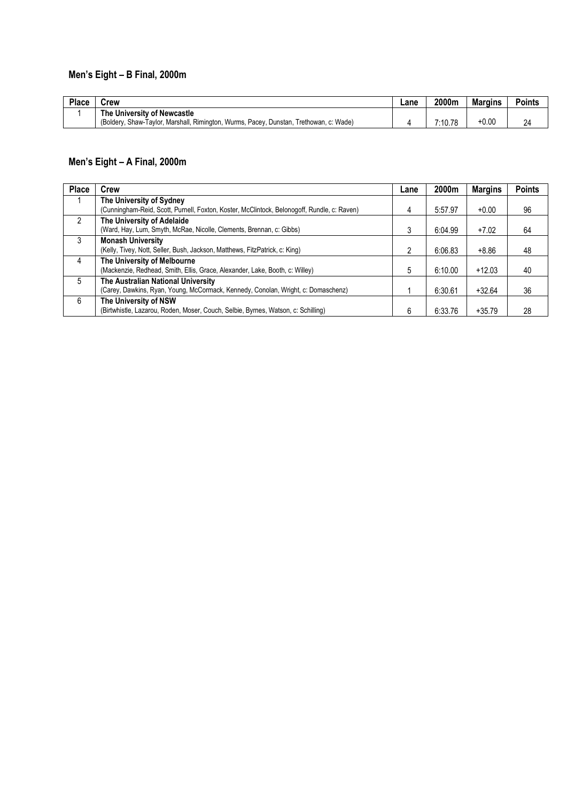# **Men's Eight – B Final, 2000m**

| Place | Crew                                                                                   | Lane | 2000m   | <b>Margins</b> | <b>Points</b> |
|-------|----------------------------------------------------------------------------------------|------|---------|----------------|---------------|
|       | The University of Newcastle                                                            |      |         |                |               |
|       | (Boldery, Shaw-Taylor, Marshall, Rimington, Wurms, Pacey, Dunstan, Trethowan, c: Wade) |      | 7:10.78 | $+0.00$        | 24            |

## **Men's Eight – A Final, 2000m**

| <b>Place</b>  | Crew                                                                                                                    | Lane | 2000m   | <b>Margins</b> | <b>Points</b> |
|---------------|-------------------------------------------------------------------------------------------------------------------------|------|---------|----------------|---------------|
|               | The University of Sydney<br>(Cunningham-Reid, Scott, Purnell, Foxton, Koster, McClintock, Belonogoff, Rundle, c: Raven) | 4    | 5:57.97 | $+0.00$        | 96            |
| $\mathcal{P}$ | The University of Adelaide<br>(Ward, Hay, Lum, Smyth, McRae, Nicolle, Clements, Brennan, c: Gibbs)                      | 3    | 6:04.99 | $+7.02$        | 64            |
| 3             | <b>Monash University</b><br>(Kelly, Tivey, Nott, Seller, Bush, Jackson, Matthews, FitzPatrick, c: King)                 | 2    | 6:06.83 | $+8.86$        | 48            |
| 4             | The University of Melbourne<br>(Mackenzie, Redhead, Smith, Ellis, Grace, Alexander, Lake, Booth, c: Willey)             | 5    | 6:10.00 | $+12.03$       | 40            |
| 5             | The Australian National University<br>(Carey, Dawkins, Ryan, Young, McCormack, Kennedy, Conolan, Wright, c: Domaschenz) |      | 6:30.61 | $+32.64$       | 36            |
| 6             | The University of NSW<br>(Birtwhistle, Lazarou, Roden, Moser, Couch, Selbie, Byrnes, Watson, c: Schilling)              |      | 6:33.76 | $+35.79$       | 28            |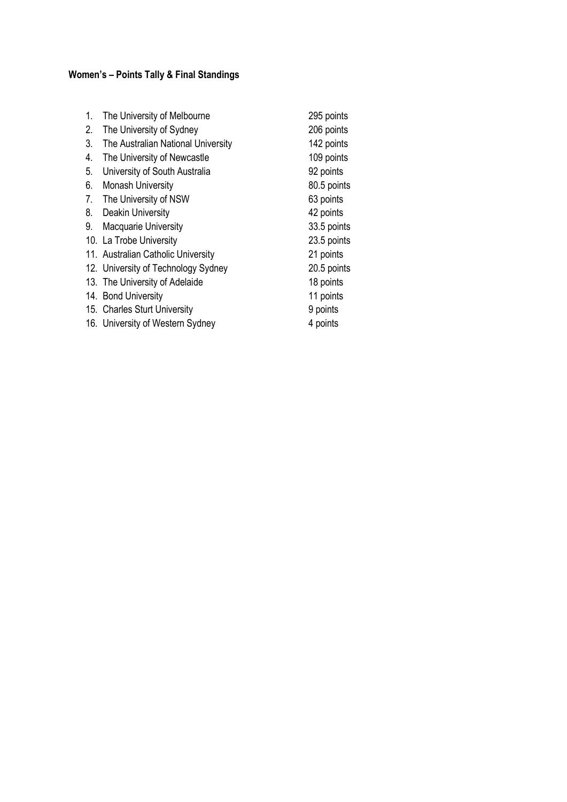# **Women's – Points Tally & Final Standings**

| 1. | The University of Melbourne         | 295 points  |
|----|-------------------------------------|-------------|
| 2. | The University of Sydney            | 206 points  |
| 3. | The Australian National University  | 142 points  |
| 4. | The University of Newcastle         | 109 points  |
| 5. | University of South Australia       | 92 points   |
| 6. | <b>Monash University</b>            | 80.5 points |
| 7. | The University of NSW               | 63 points   |
| 8. | Deakin University                   | 42 points   |
| 9. | <b>Macquarie University</b>         | 33.5 points |
|    | 10. La Trobe University             | 23.5 points |
|    | 11. Australian Catholic University  | 21 points   |
|    | 12. University of Technology Sydney | 20.5 points |
|    | 13. The University of Adelaide      | 18 points   |
|    | 14. Bond University                 | 11 points   |
|    | 15. Charles Sturt University        | 9 points    |
|    | 16. University of Western Sydney    | 4 points    |
|    |                                     |             |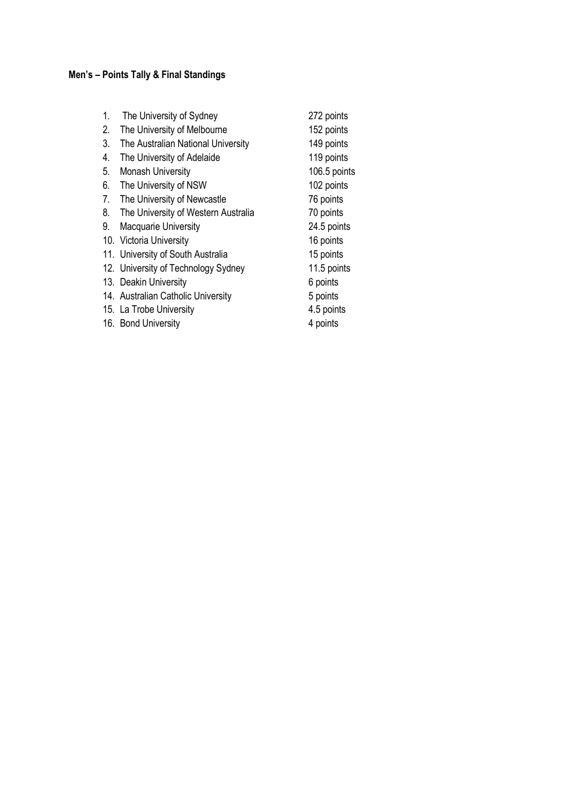# **Men's – Points Tally & Final Standings**

| 1. | The University of Sydney            | 272 points   |
|----|-------------------------------------|--------------|
| 2. | The University of Melbourne         | 152 points   |
| 3. | The Australian National University  | 149 points   |
| 4. | The University of Adelaide          | 119 points   |
| 5. | <b>Monash University</b>            | 106.5 points |
| 6. | The University of NSW               | 102 points   |
| 7. | The University of Newcastle         | 76 points    |
| 8. | The University of Western Australia | 70 points    |
| 9. | <b>Macquarie University</b>         | 24.5 points  |
|    | 10. Victoria University             | 16 points    |
|    | 11. University of South Australia   | 15 points    |
|    | 12. University of Technology Sydney | 11.5 points  |
|    | 13. Deakin University               | 6 points     |
|    | 14. Australian Catholic University  | 5 points     |
|    |                                     |              |

- 
- 16. Bond University

15. La Trobe University 15. La Trobe University 16. Bond University 14.5 points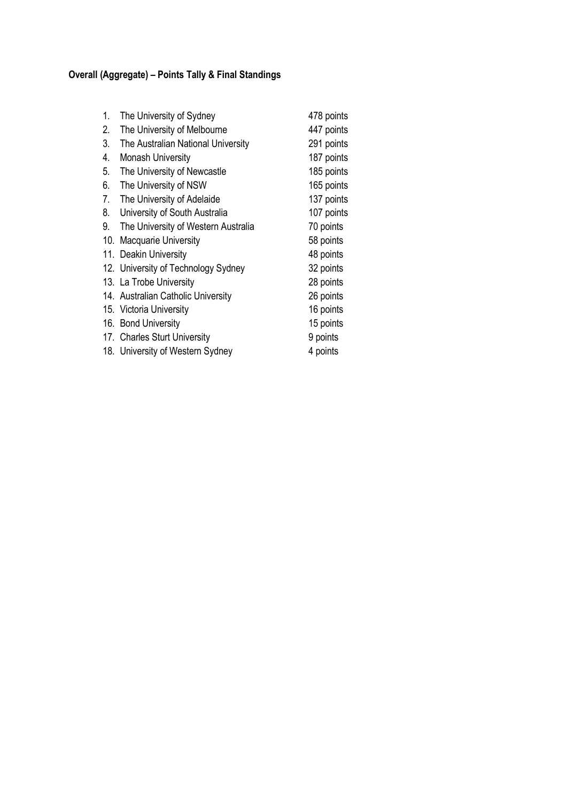# **Overall (Aggregate) – Points Tally & Final Standings**

| 1.  | The University of Sydney            | 478 points |
|-----|-------------------------------------|------------|
| 2.  | The University of Melbourne         | 447 points |
| 3.  | The Australian National University  | 291 points |
| 4.  | <b>Monash University</b>            | 187 points |
| 5.  | The University of Newcastle         | 185 points |
| 6.  | The University of NSW               | 165 points |
| 7.  | The University of Adelaide          | 137 points |
| 8.  | University of South Australia       | 107 points |
| 9.  | The University of Western Australia | 70 points  |
| 10. | Macquarie University                | 58 points  |
|     | 11. Deakin University               | 48 points  |
|     | 12. University of Technology Sydney | 32 points  |
|     | 13. La Trobe University             | 28 points  |
|     | 14. Australian Catholic University  | 26 points  |
|     | 15. Victoria University             | 16 points  |
|     | 16. Bond University                 | 15 points  |
|     | 17. Charles Sturt University        | 9 points   |
|     | 18. University of Western Sydney    | 4 points   |